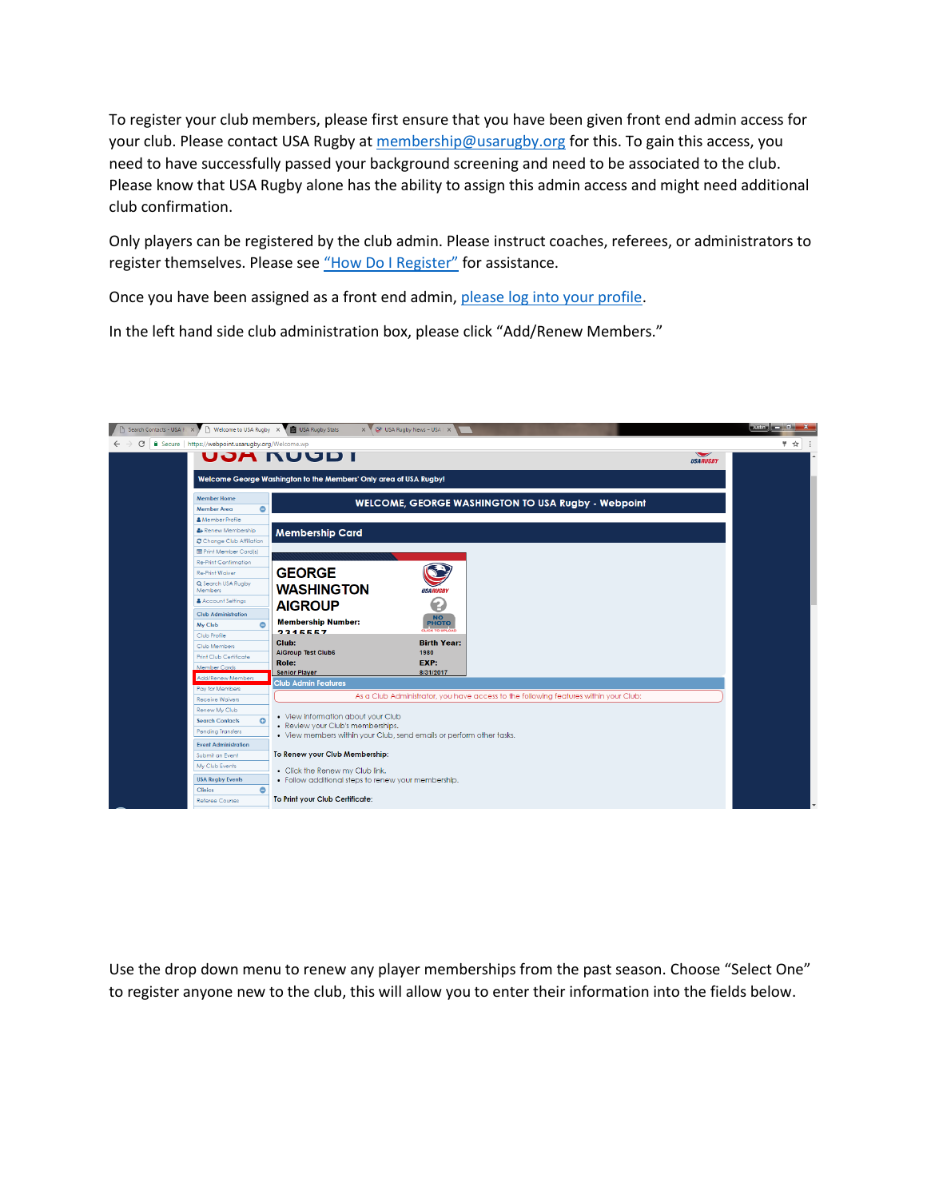To register your club members, please first ensure that you have been given front end admin access for your club. Please contact USA Rugby a[t membership@usarugby.org](mailto:membership@usarugby.org) for this. To gain this access, you need to have successfully passed your background screening and need to be associated to the club. Please know that USA Rugby alone has the ability to assign this admin access and might need additional club confirmation.

Only players can be registered by the club admin. Please instruct coaches, referees, or administrators to register themselves. Please see ["How Do I Register"](http://assets.usarugby.org/docs/membership/faqs/How-Do-I-Register.pdf) for assistance.

Once you have been assigned as a front end admin[, please log into your profile.](https://webpoint.usarugby.org/)

In the left hand side club administration box, please click "Add/Renew Members."



Use the drop down menu to renew any player memberships from the past season. Choose "Select One" to register anyone new to the club, this will allow you to enter their information into the fields below.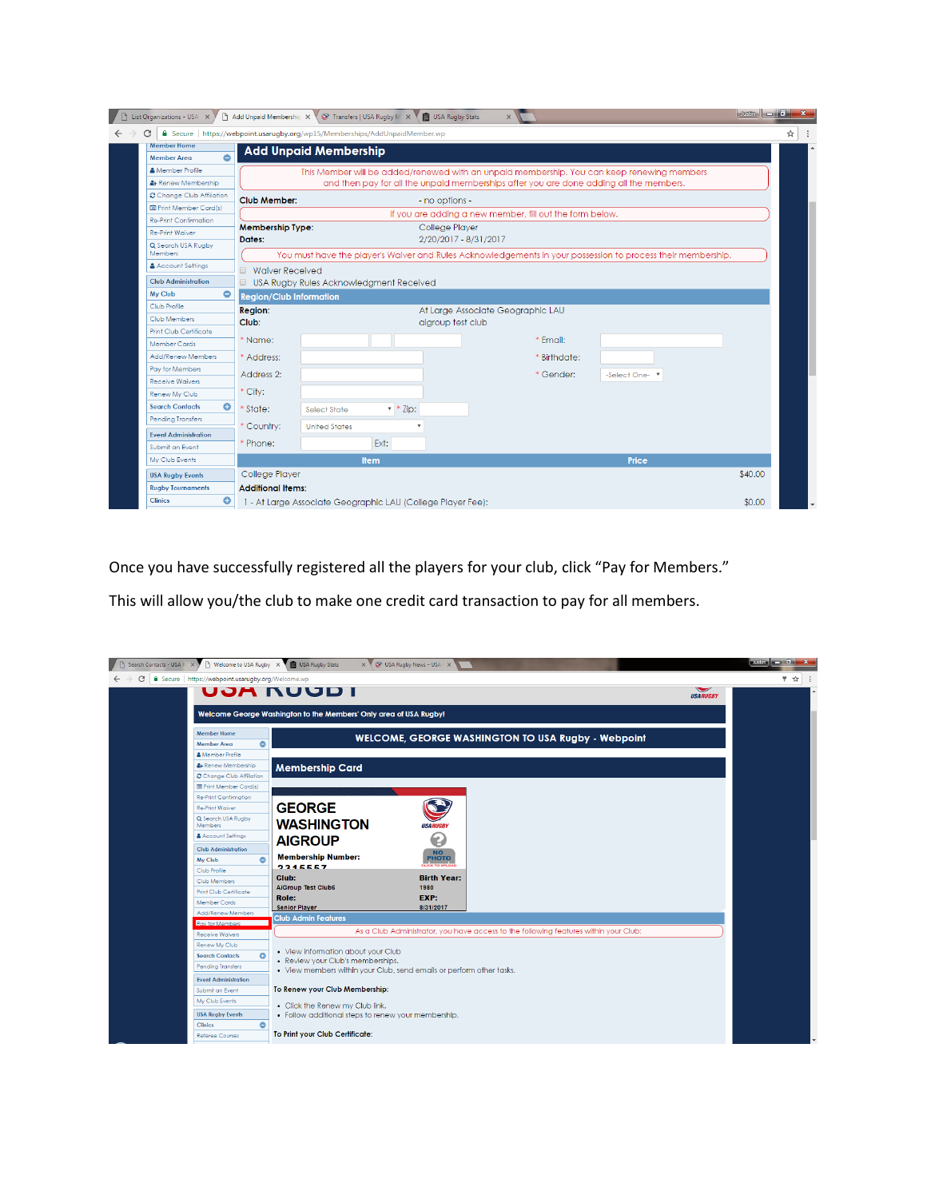| List Organizations - USA X           |                                                                                                                                        | Add Unpaid Membership X \ \ Transfers   USA Rugby M X \ \ USA Rugby Stats  |                | $\times$                                                                                   |              | $\log n$ $\sim$ $\sim$ $\sim$ $\sim$ |   |  |
|--------------------------------------|----------------------------------------------------------------------------------------------------------------------------------------|----------------------------------------------------------------------------|----------------|--------------------------------------------------------------------------------------------|--------------|--------------------------------------|---|--|
| ٠                                    |                                                                                                                                        | Secure   https://webpoint.usarugby.org/wp15/Memberships/AddUnpaidMember.wp |                |                                                                                            |              |                                      | ☆ |  |
| <b>Member Home</b>                   |                                                                                                                                        | <b>Add Unpaid Membership</b>                                               |                |                                                                                            |              |                                      |   |  |
| $\bullet$<br><b>Member Area</b>      |                                                                                                                                        |                                                                            |                |                                                                                            |              |                                      |   |  |
| <b>A</b> Member Profile              |                                                                                                                                        |                                                                            |                | This Member will be added/renewed with an unpaid membership. You can keep renewing members |              |                                      |   |  |
| & Renew Membership                   |                                                                                                                                        |                                                                            |                | and then pay for all the unpaid memberships after you are done adding all the members.     |              |                                      |   |  |
| Change Club Affiliation              | <b>Club Member:</b>                                                                                                                    |                                                                            | - no options - |                                                                                            |              |                                      |   |  |
| <b>E</b> Print Member Card(s)        | If you are adding a new member, fill out the form below.                                                                               |                                                                            |                |                                                                                            |              |                                      |   |  |
| <b>Re-Print Confirmation</b>         | <b>Membership Type:</b>                                                                                                                |                                                                            | College Player |                                                                                            |              |                                      |   |  |
| <b>Re-Print Waiver</b>               | Dates:                                                                                                                                 |                                                                            |                | 2/20/2017 - 8/31/2017                                                                      |              |                                      |   |  |
| Q Search USA Rugby<br><b>Members</b> |                                                                                                                                        |                                                                            |                |                                                                                            |              |                                      |   |  |
| & Account Settings                   | You must have the player's Waiver and Rules Acknowledgements in your possession to process their membership.<br><b>Waiver Received</b> |                                                                            |                |                                                                                            |              |                                      |   |  |
| <b>Club Administration</b>           | USA Rugby Rules Acknowledgment Received                                                                                                |                                                                            |                |                                                                                            |              |                                      |   |  |
| $\bullet$<br>My Club                 | <b>Region/Club Information</b>                                                                                                         |                                                                            |                |                                                                                            |              |                                      |   |  |
| Club Profile                         | <b>Region:</b><br>At Large Associate Geographic LAU                                                                                    |                                                                            |                |                                                                                            |              |                                      |   |  |
| Club Members                         | Club:<br>aigroup test club                                                                                                             |                                                                            |                |                                                                                            |              |                                      |   |  |
| <b>Print Club Certificate</b>        |                                                                                                                                        |                                                                            |                |                                                                                            |              |                                      |   |  |
| <b>Member Cards</b>                  | * Name:                                                                                                                                |                                                                            |                | * Email:                                                                                   |              |                                      |   |  |
| Add/Renew Members                    | * Address:                                                                                                                             |                                                                            |                | * Birthdate:                                                                               |              |                                      |   |  |
| Pay for Members                      | Address 2:                                                                                                                             |                                                                            |                | * Gender:                                                                                  | -Select One- |                                      |   |  |
| <b>Receive Waivers</b>               |                                                                                                                                        |                                                                            |                |                                                                                            |              |                                      |   |  |
| Renew My Club                        | * City:                                                                                                                                |                                                                            |                |                                                                                            |              |                                      |   |  |
| ٥<br><b>Search Contacts</b>          | State:                                                                                                                                 | $\overline{\phantom{a}}$ * Zip:<br>Select State                            |                |                                                                                            |              |                                      |   |  |
| <b>Pending Transfers</b>             | Country:                                                                                                                               | <b>United States</b>                                                       |                |                                                                                            |              |                                      |   |  |
| <b>Event Administration</b>          |                                                                                                                                        |                                                                            |                |                                                                                            |              |                                      |   |  |
| Submit an Event                      | Phone:                                                                                                                                 | Ext:                                                                       |                |                                                                                            |              |                                      |   |  |
| My Club Events                       |                                                                                                                                        | <b>Item</b>                                                                |                |                                                                                            | Price        |                                      |   |  |
| <b>USA Rugby Events</b>              | College Player                                                                                                                         |                                                                            |                |                                                                                            |              | \$40.00                              |   |  |
| <b>Rugby Tournaments</b>             | <b>Additional Items:</b>                                                                                                               |                                                                            |                |                                                                                            |              |                                      |   |  |
| ٥<br><b>Clinics</b>                  |                                                                                                                                        | 1 - At Large Associate Geographic LAU (College Player Fee):                |                |                                                                                            |              | \$0.00                               |   |  |

Once you have successfully registered all the players for your club, click "Pay for Members."

This will allow you/the club to make one credit card transaction to pay for all members.

| Search Contacts - USA R X                         | In Welcome to USA Rugby X   USA Rugby Stats<br>x V & USA Rugby News - USA   X        |                                          | Justin $\Box$ $\Box$ $\Box$ $\mathbf{X}$ |
|---------------------------------------------------|--------------------------------------------------------------------------------------|------------------------------------------|------------------------------------------|
| Secure   https://webpoint.usarugby.org/Welcome.wp |                                                                                      |                                          | ę.<br>☆                                  |
|                                                   | UJA NUUD I                                                                           | $\blacktriangleright$<br><b>USARUGBY</b> |                                          |
|                                                   | Welcome George Washington to the Members' Only area of USA Rugby!                    |                                          |                                          |
| <b>Member Home</b>                                | <b>WELCOME, GEORGE WASHINGTON TO USA Rugby - Webpoint</b>                            |                                          |                                          |
| <b>Member Area</b>                                | $\bullet$                                                                            |                                          |                                          |
| <b>A</b> Member Profile                           |                                                                                      |                                          |                                          |
| & Renew Membership                                | <b>Membership Card</b>                                                               |                                          |                                          |
| Change Club Affiliation                           |                                                                                      |                                          |                                          |
| <b>E</b> Print Member Card(s)                     |                                                                                      |                                          |                                          |
| <b>Re-Print Confirmation</b>                      |                                                                                      |                                          |                                          |
| Re-Print Waiver                                   | <b>GEORGE</b>                                                                        |                                          |                                          |
| Q Search USA Ruaby<br><b>Members</b>              | <b>WASHINGTON</b><br><b>USARUGBY</b>                                                 |                                          |                                          |
| Account Settings                                  | €                                                                                    |                                          |                                          |
| <b>Club Administration</b>                        | <b>AIGROUP</b>                                                                       |                                          |                                          |
| My Club                                           | NO<br>PHOTO<br><b>Membership Number:</b><br>$\bullet$                                |                                          |                                          |
| Club Profile                                      | <b>CLICK TO UPLOAD</b><br>2245557                                                    |                                          |                                          |
| Club Members                                      | Club:<br><b>Birth Year:</b>                                                          |                                          |                                          |
| <b>Print Club Certificate</b>                     | <b>AiGroup Test Club6</b><br>1980                                                    |                                          |                                          |
| <b>Member Cards</b>                               | EXP:<br>Role:<br><b>Senior Player</b><br>8/31/2017                                   |                                          |                                          |
| Add/Renew Members                                 | <b>Club Admin Features</b>                                                           |                                          |                                          |
| Pay for Members                                   |                                                                                      |                                          |                                          |
| <b>Receive Waivers</b>                            | As a Club Administrator, you have access to the following features within your Club: |                                          |                                          |
| Renew My Club                                     | • View information about your Club                                                   |                                          |                                          |
| <b>Search Contacts</b>                            | $\bullet$<br>• Review your Club's memberships.                                       |                                          |                                          |
| <b>Pending Transfers</b>                          | . View members within your Club, send emails or perform other tasks.                 |                                          |                                          |
| <b>Event Administration</b>                       |                                                                                      |                                          |                                          |
| Submit an Event                                   | To Renew your Club Membership:                                                       |                                          |                                          |
| My Club Events                                    | • Click the Renew my Club link.                                                      |                                          |                                          |
| <b>USA Rugby Events</b>                           | · Follow additional steps to renew your membership.                                  |                                          |                                          |
| <b>Clinics</b>                                    | $\bullet$                                                                            |                                          |                                          |
| <b>Referee Courses</b>                            | To Print your Club Certificate:                                                      |                                          |                                          |
|                                                   |                                                                                      |                                          |                                          |